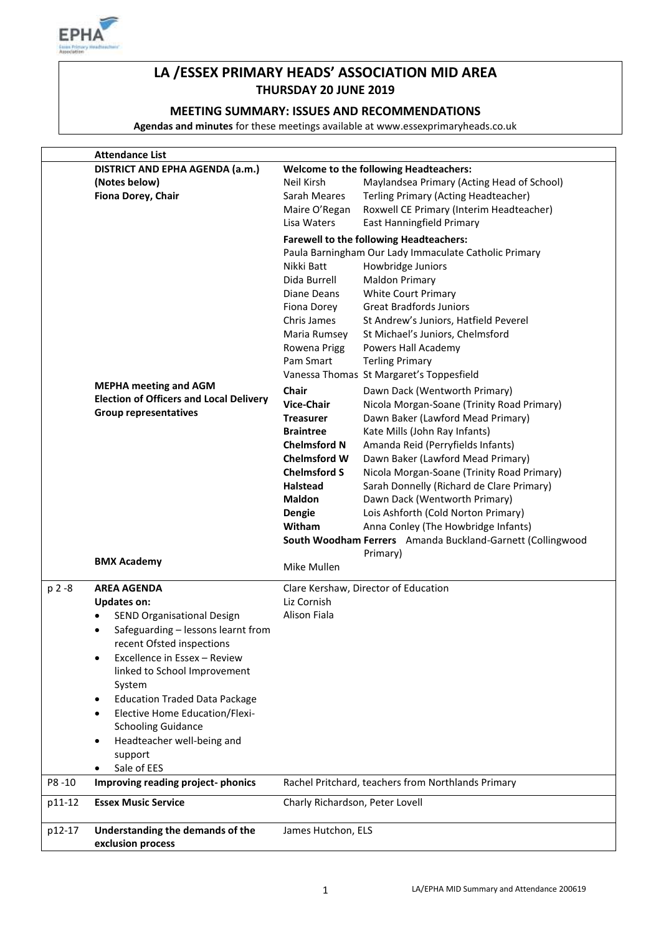

# **LA /ESSEX PRIMARY HEADS' ASSOCIATION MID AREA THURSDAY 20 JUNE 2019**

### **MEETING SUMMARY: ISSUES AND RECOMMENDATIONS**

**Agendas and minutes** for these meetings available at www.essexprimaryheads.co.uk

|           | <b>Attendance List</b>                                                                                                                                                                                                                                                                                                                                                                                                               |                                                                                                                                                                                                                                                                                                                                 |                                                                                                                                                                                                                                                                                                                                                                                                                                                                                                                                                                                                                                                                                                                                                                                                                                                                                                                    |
|-----------|--------------------------------------------------------------------------------------------------------------------------------------------------------------------------------------------------------------------------------------------------------------------------------------------------------------------------------------------------------------------------------------------------------------------------------------|---------------------------------------------------------------------------------------------------------------------------------------------------------------------------------------------------------------------------------------------------------------------------------------------------------------------------------|--------------------------------------------------------------------------------------------------------------------------------------------------------------------------------------------------------------------------------------------------------------------------------------------------------------------------------------------------------------------------------------------------------------------------------------------------------------------------------------------------------------------------------------------------------------------------------------------------------------------------------------------------------------------------------------------------------------------------------------------------------------------------------------------------------------------------------------------------------------------------------------------------------------------|
|           | DISTRICT AND EPHA AGENDA (a.m.)<br>(Notes below)<br>Fiona Dorey, Chair                                                                                                                                                                                                                                                                                                                                                               | Neil Kirsh<br>Sarah Meares<br>Maire O'Regan<br>Lisa Waters                                                                                                                                                                                                                                                                      | <b>Welcome to the following Headteachers:</b><br>Maylandsea Primary (Acting Head of School)<br>Terling Primary (Acting Headteacher)<br>Roxwell CE Primary (Interim Headteacher)<br>East Hanningfield Primary                                                                                                                                                                                                                                                                                                                                                                                                                                                                                                                                                                                                                                                                                                       |
|           | <b>MEPHA meeting and AGM</b><br><b>Election of Officers and Local Delivery</b><br><b>Group representatives</b><br><b>BMX Academy</b>                                                                                                                                                                                                                                                                                                 | Nikki Batt<br>Dida Burrell<br>Diane Deans<br>Fiona Dorey<br>Chris James<br>Maria Rumsey<br>Rowena Prigg<br>Pam Smart<br>Chair<br><b>Vice-Chair</b><br>Treasurer<br><b>Braintree</b><br><b>Chelmsford N</b><br><b>Chelmsford W</b><br><b>Chelmsford S</b><br><b>Halstead</b><br><b>Maldon</b><br>Dengie<br>Witham<br>Mike Mullen | <b>Farewell to the following Headteachers:</b><br>Paula Barningham Our Lady Immaculate Catholic Primary<br>Howbridge Juniors<br><b>Maldon Primary</b><br><b>White Court Primary</b><br><b>Great Bradfords Juniors</b><br>St Andrew's Juniors, Hatfield Peverel<br>St Michael's Juniors, Chelmsford<br>Powers Hall Academy<br><b>Terling Primary</b><br>Vanessa Thomas St Margaret's Toppesfield<br>Dawn Dack (Wentworth Primary)<br>Nicola Morgan-Soane (Trinity Road Primary)<br>Dawn Baker (Lawford Mead Primary)<br>Kate Mills (John Ray Infants)<br>Amanda Reid (Perryfields Infants)<br>Dawn Baker (Lawford Mead Primary)<br>Nicola Morgan-Soane (Trinity Road Primary)<br>Sarah Donnelly (Richard de Clare Primary)<br>Dawn Dack (Wentworth Primary)<br>Lois Ashforth (Cold Norton Primary)<br>Anna Conley (The Howbridge Infants)<br>South Woodham Ferrers Amanda Buckland-Garnett (Collingwood<br>Primary) |
| $p 2 - 8$ | <b>AREA AGENDA</b>                                                                                                                                                                                                                                                                                                                                                                                                                   | Liz Cornish                                                                                                                                                                                                                                                                                                                     | Clare Kershaw, Director of Education                                                                                                                                                                                                                                                                                                                                                                                                                                                                                                                                                                                                                                                                                                                                                                                                                                                                               |
|           | <b>Updates on:</b><br>SEND Organisational Design<br>$\bullet$<br>Safeguarding - lessons learnt from<br>recent Ofsted inspections<br>Excellence in Essex - Review<br>$\bullet$<br>linked to School Improvement<br>System<br><b>Education Traded Data Package</b><br>$\bullet$<br><b>Elective Home Education/Flexi-</b><br>$\bullet$<br><b>Schooling Guidance</b><br>Headteacher well-being and<br>$\bullet$<br>support<br>Sale of EES | Alison Fiala                                                                                                                                                                                                                                                                                                                    |                                                                                                                                                                                                                                                                                                                                                                                                                                                                                                                                                                                                                                                                                                                                                                                                                                                                                                                    |
| P8-10     | Improving reading project-phonics<br><b>Essex Music Service</b>                                                                                                                                                                                                                                                                                                                                                                      |                                                                                                                                                                                                                                                                                                                                 | Rachel Pritchard, teachers from Northlands Primary                                                                                                                                                                                                                                                                                                                                                                                                                                                                                                                                                                                                                                                                                                                                                                                                                                                                 |
| p11-12    |                                                                                                                                                                                                                                                                                                                                                                                                                                      | Charly Richardson, Peter Lovell                                                                                                                                                                                                                                                                                                 |                                                                                                                                                                                                                                                                                                                                                                                                                                                                                                                                                                                                                                                                                                                                                                                                                                                                                                                    |
| p12-17    | Understanding the demands of the<br>exclusion process                                                                                                                                                                                                                                                                                                                                                                                | James Hutchon, ELS                                                                                                                                                                                                                                                                                                              |                                                                                                                                                                                                                                                                                                                                                                                                                                                                                                                                                                                                                                                                                                                                                                                                                                                                                                                    |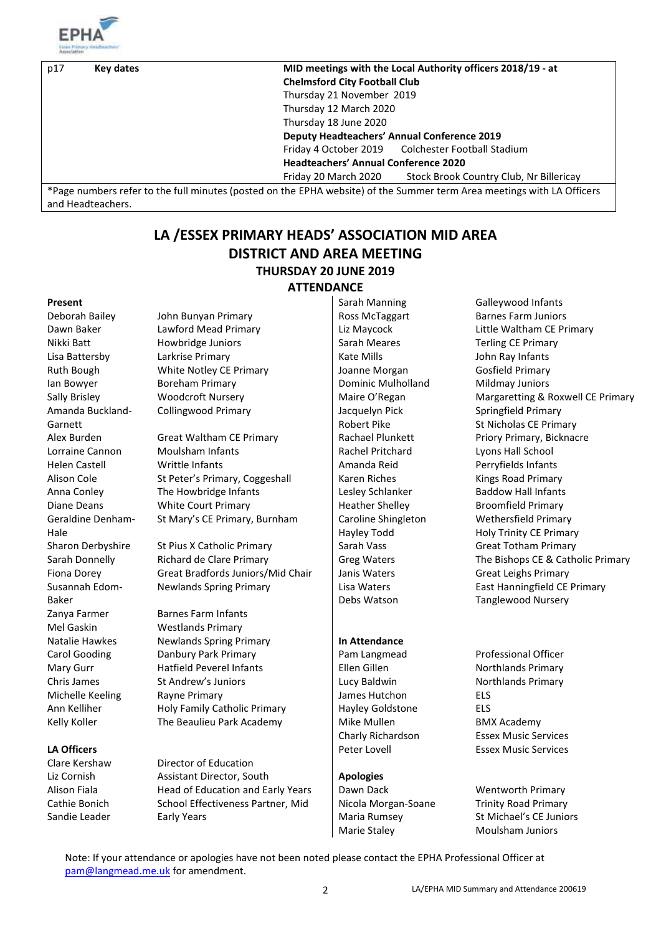

and Headteachers.

| p17 | Key dates | <b>Chelmsford City Football Club</b>               | MID meetings with the Local Authority officers 2018/19 - at                                                            |
|-----|-----------|----------------------------------------------------|------------------------------------------------------------------------------------------------------------------------|
|     |           |                                                    |                                                                                                                        |
|     |           | Thursday 21 November 2019                          |                                                                                                                        |
|     |           | Thursday 12 March 2020                             |                                                                                                                        |
|     |           | Thursday 18 June 2020                              |                                                                                                                        |
|     |           | <b>Deputy Headteachers' Annual Conference 2019</b> |                                                                                                                        |
|     |           |                                                    | Friday 4 October 2019 Colchester Football Stadium                                                                      |
|     |           | <b>Headteachers' Annual Conference 2020</b>        |                                                                                                                        |
|     |           | Friday 20 March 2020                               | Stock Brook Country Club, Nr Billericay                                                                                |
|     |           |                                                    | *Page numbers refer to the full minutes (posted on the EPHA website) of the Summer term Area meetings with LA Officers |

# **LA /ESSEX PRIMARY HEADS' ASSOCIATION MID AREA DISTRICT AND AREA MEETING THURSDAY 20 JUNE 2019 ATTENDANCE**

Amanda Buckland-Garnett Geraldine Denham-Hale Susannah Edom-Baker Zanya Farmer Barnes Farm Infants Mel Gaskin Westlands Primary

Deborah Bailey John Bunyan Primary Ross McTaggart Barnes Farm Juniors Nikki Batt **Howbridge Juniors** Sarah Meares Terling CE Primary Lisa Battersby Larkrise Primary Care Richard Ray Infants (Kate Mills Care and Arients Advisor And Arients And A Ruth Bough **White Notley CE Primary** Joanne Morgan Gosfield Primary Ian Bowyer **Boreham Primary Communist Communist Communist Communist Communist Communist Communist Communist Communist Communist Communist Communist Communist Communist Communist Communist Communist Communist Communist Comm** Collingwood Primary **Jacquelyn Pick** 

Alex Burden Great Waltham CE Primary **Rachael Plunkett** Priory Primary, Bicknacre Lorraine Cannon Moulsham Infants Moulsham Infants Rachel Pritchard Lyons Hall School Helen Castell **Writtle Infants** Amanda Reid Perryfields Infants Alison Cole St Peter's Primary, Coggeshall Karen Riches Kings Road Primary Anna Conley The Howbridge Infants Lesley Schlanker Baddow Hall Infants Diane Deans White Court Primary Heather Shelley Broomfield Primary St Mary's CE Primary, Burnham | Caroline Shingleton

Sharon Derbyshire St Pius X Catholic Primary Sharah Vass Sharon Derbyshire St Pius X Catholic Primary Sarah Donnelly Richard de Clare Primary Greg Waters The Bishops CE & Catholic Primary Fiona Dorey Great Bradfords Juniors/Mid Chair Janis Waters Great Leighs Primary Newlands Spring Primary | Lisa Waters

Natalie Hawkes **Newlands Spring Primary In Attendance** Carol Gooding Danbury Park Primary Pam Langmead Professional Officer Mary Gurr **Hatfield Peverel Infants** Fillen Gillen Northlands Primary Chris James St Andrew's Juniors Lucy Baldwin Northlands Primary Michelle Keeling Rayne Primary **All Strategies Accord ELS** James Hutchon ELS Ann Kelliher **Holy Family Catholic Primary** Hayley Goldstone ELS Kelly Koller The Beaulieu Park Academy Mike Mullen BMX Academy

Clare Kershaw Director of Education Liz Cornish Assistant Director, South **Apologies** Alison Fiala **Head of Education and Early Years** | Dawn Dack Wentworth Primary Cathie Bonich School Effectiveness Partner, Mid Nicola Morgan-Soane Trinity Road Primary Sandie Leader Early Years Maria Rumsey St Michael's CE Juniors

**Present** Sarah Manning Galleywood Infants Robert Pike Hayley Todd Debs Watson

Marie Staley Moulsham Juniors

Dawn Baker Lawford Mead Primary Liz Maycock Little Waltham CE Primary Sally Brisley **Manufary Margaretting & Roxwell CE Primary** Maire O'Regan Margaretting & Roxwell CE Primary Springfield Primary St Nicholas CE Primary Wethersfield Primary Holy Trinity CE Primary East Hanningfield CE Primary Tanglewood Nursery

Charly Richardson Essex Music Services **LA Officers Peter Lovell** Peter Lovell Essex Music Services

Note: If your attendance or apologies have not been noted please contact the EPHA Professional Officer at [pam@langmead.me.uk](mailto:pam@langmead.me.uk) for amendment.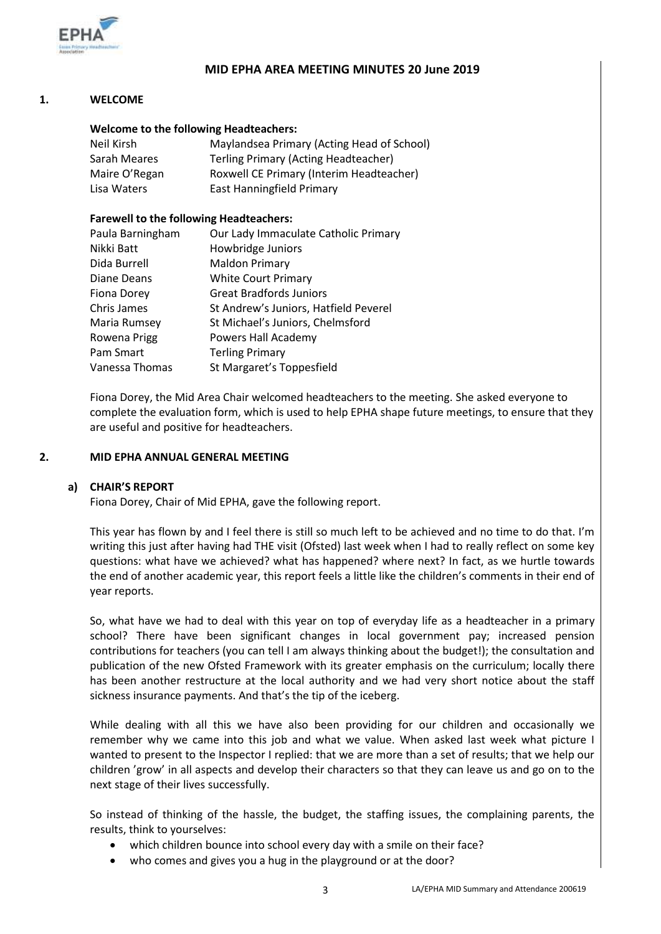

#### **MID EPHA AREA MEETING MINUTES 20 June 2019**

### **1. WELCOME**

#### **Welcome to the following Headteachers:**

| Neil Kirsh    | Maylandsea Primary (Acting Head of School) |
|---------------|--------------------------------------------|
| Sarah Meares  | Terling Primary (Acting Headteacher)       |
| Maire O'Regan | Roxwell CE Primary (Interim Headteacher)   |
| Lisa Waters   | <b>East Hanningfield Primary</b>           |

#### **Farewell to the following Headteachers:**

| Paula Barningham   | Our Lady Immaculate Catholic Primary  |
|--------------------|---------------------------------------|
| Nikki Batt         | Howbridge Juniors                     |
| Dida Burrell       | <b>Maldon Primary</b>                 |
| Diane Deans        | <b>White Court Primary</b>            |
| <b>Fiona Dorey</b> | <b>Great Bradfords Juniors</b>        |
| Chris James        | St Andrew's Juniors, Hatfield Peverel |
| Maria Rumsey       | St Michael's Juniors, Chelmsford      |
| Rowena Prigg       | Powers Hall Academy                   |
| Pam Smart          | <b>Terling Primary</b>                |
| Vanessa Thomas     | St Margaret's Toppesfield             |

Fiona Dorey, the Mid Area Chair welcomed headteachers to the meeting. She asked everyone to complete the evaluation form, which is used to help EPHA shape future meetings, to ensure that they are useful and positive for headteachers.

#### **2. MID EPHA ANNUAL GENERAL MEETING**

## **a) CHAIR'S REPORT**

Fiona Dorey, Chair of Mid EPHA, gave the following report.

This year has flown by and I feel there is still so much left to be achieved and no time to do that. I'm writing this just after having had THE visit (Ofsted) last week when I had to really reflect on some key questions: what have we achieved? what has happened? where next? In fact, as we hurtle towards the end of another academic year, this report feels a little like the children's comments in their end of year reports.

So, what have we had to deal with this year on top of everyday life as a headteacher in a primary school? There have been significant changes in local government pay; increased pension contributions for teachers (you can tell I am always thinking about the budget!); the consultation and publication of the new Ofsted Framework with its greater emphasis on the curriculum; locally there has been another restructure at the local authority and we had very short notice about the staff sickness insurance payments. And that's the tip of the iceberg.

While dealing with all this we have also been providing for our children and occasionally we remember why we came into this job and what we value. When asked last week what picture I wanted to present to the Inspector I replied: that we are more than a set of results; that we help our children 'grow' in all aspects and develop their characters so that they can leave us and go on to the next stage of their lives successfully.

So instead of thinking of the hassle, the budget, the staffing issues, the complaining parents, the results, think to yourselves:

- which children bounce into school every day with a smile on their face?
- who comes and gives you a hug in the playground or at the door?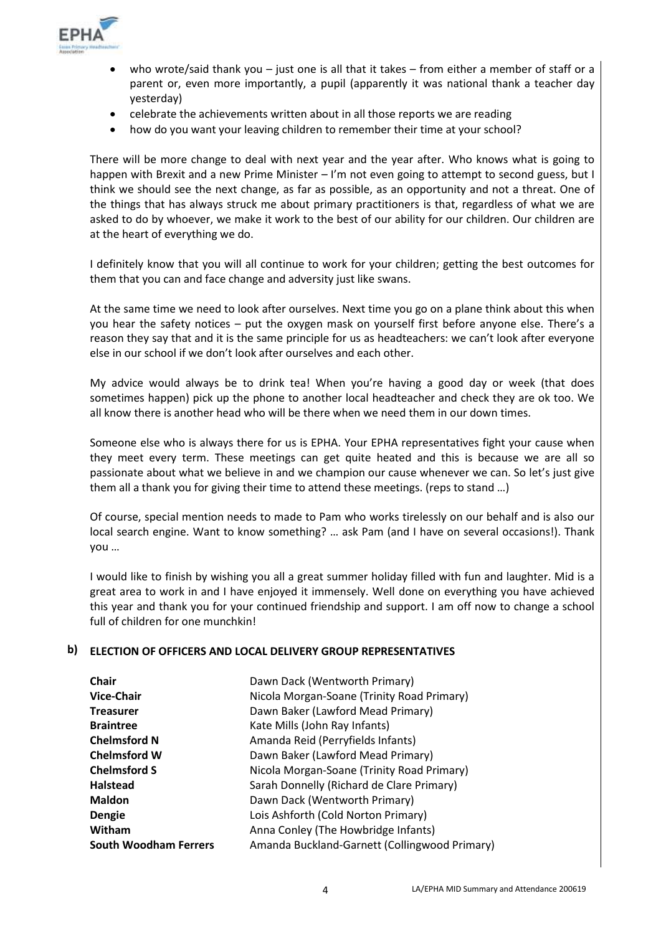

- who wrote/said thank you just one is all that it takes from either a member of staff or a parent or, even more importantly, a pupil (apparently it was national thank a teacher day yesterday)
- celebrate the achievements written about in all those reports we are reading
- how do you want your leaving children to remember their time at your school?

There will be more change to deal with next year and the year after. Who knows what is going to happen with Brexit and a new Prime Minister – I'm not even going to attempt to second guess, but I think we should see the next change, as far as possible, as an opportunity and not a threat. One of the things that has always struck me about primary practitioners is that, regardless of what we are asked to do by whoever, we make it work to the best of our ability for our children. Our children are at the heart of everything we do.

I definitely know that you will all continue to work for your children; getting the best outcomes for them that you can and face change and adversity just like swans.

At the same time we need to look after ourselves. Next time you go on a plane think about this when you hear the safety notices – put the oxygen mask on yourself first before anyone else. There's a reason they say that and it is the same principle for us as headteachers: we can't look after everyone else in our school if we don't look after ourselves and each other.

My advice would always be to drink tea! When you're having a good day or week (that does sometimes happen) pick up the phone to another local headteacher and check they are ok too. We all know there is another head who will be there when we need them in our down times.

Someone else who is always there for us is EPHA. Your EPHA representatives fight your cause when they meet every term. These meetings can get quite heated and this is because we are all so passionate about what we believe in and we champion our cause whenever we can. So let's just give them all a thank you for giving their time to attend these meetings. (reps to stand …)

Of course, special mention needs to made to Pam who works tirelessly on our behalf and is also our local search engine. Want to know something? … ask Pam (and I have on several occasions!). Thank you …

I would like to finish by wishing you all a great summer holiday filled with fun and laughter. Mid is a great area to work in and I have enjoyed it immensely. Well done on everything you have achieved this year and thank you for your continued friendship and support. I am off now to change a school full of children for one munchkin!

#### **b) ELECTION OF OFFICERS AND LOCAL DELIVERY GROUP REPRESENTATIVES**

| <b>Chair</b>                 | Dawn Dack (Wentworth Primary)                 |
|------------------------------|-----------------------------------------------|
| <b>Vice-Chair</b>            | Nicola Morgan-Soane (Trinity Road Primary)    |
| <b>Treasurer</b>             | Dawn Baker (Lawford Mead Primary)             |
| <b>Braintree</b>             | Kate Mills (John Ray Infants)                 |
| <b>Chelmsford N</b>          | Amanda Reid (Perryfields Infants)             |
| <b>Chelmsford W</b>          | Dawn Baker (Lawford Mead Primary)             |
| <b>Chelmsford S</b>          | Nicola Morgan-Soane (Trinity Road Primary)    |
| <b>Halstead</b>              | Sarah Donnelly (Richard de Clare Primary)     |
| <b>Maldon</b>                | Dawn Dack (Wentworth Primary)                 |
| <b>Dengie</b>                | Lois Ashforth (Cold Norton Primary)           |
| Witham                       | Anna Conley (The Howbridge Infants)           |
| <b>South Woodham Ferrers</b> | Amanda Buckland-Garnett (Collingwood Primary) |
|                              |                                               |